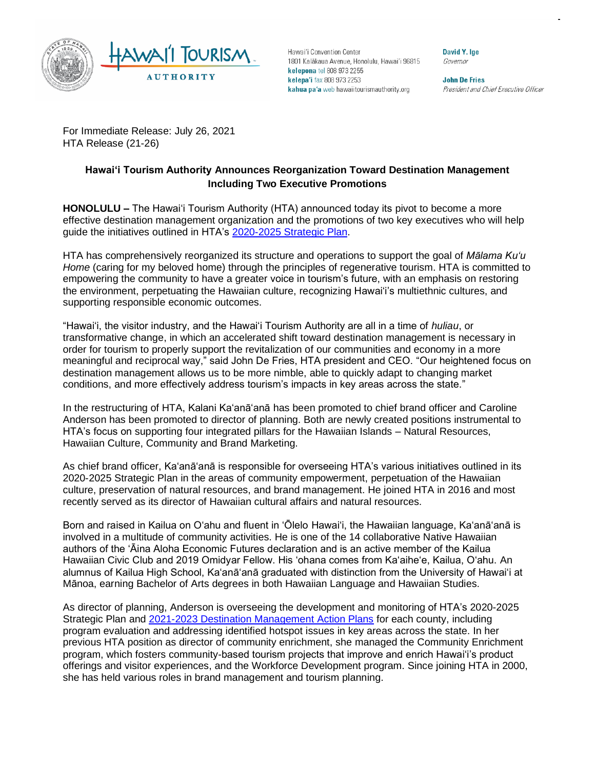

Hawai'i Convention Center 1801 Kalākaua Avenue, Honolulu, Hawai'i 96815 kelepona tel 808 973 2255 kelepa'i fax 808 973 2253 kahua pa'a web hawaiitourismauthority.org

David Y. Ige Governor

**John De Fries** President and Chief Executive Officer

For Immediate Release: July 26, 2021 HTA Release (21-26)

## **Hawai'i Tourism Authority Announces Reorganization Toward Destination Management Including Two Executive Promotions**

**HONOLULU –** The Hawai'i Tourism Authority (HTA) announced today its pivot to become a more effective destination management organization and the promotions of two key executives who will help guide the initiatives outlined in HTA's [2020-2025 Strategic Plan.](https://www.hawaiitourismauthority.org/media/4286/hta-strategic-plan-2020-2025.pdf)

HTA has comprehensively reorganized its structure and operations to support the goal of *Mālama Ku'u*  Home (caring for my beloved home) through the principles of regenerative tourism. HTA is committed to empowering the community to have a greater voice in tourism's future, with an emphasis on restoring the environment, perpetuating the Hawaiian culture, recognizing Hawai'i's multiethnic cultures, and supporting responsible economic outcomes.

"Hawaiʻi, the visitor industry, and the Hawaiʻi Tourism Authority are all in a time of *huliau*, or transformative change, in which an accelerated shift toward destination management is necessary in order for tourism to properly support the revitalization of our communities and economy in a more meaningful and reciprocal way," said John De Fries, HTA president and CEO. "Our heightened focus on destination management allows us to be more nimble, able to quickly adapt to changing market conditions, and more effectively address tourism's impacts in key areas across the state."

In the restructuring of HTA, Kalani Ka'anā'anā has been promoted to chief brand officer and Caroline Anderson has been promoted to director of planning. Both are newly created positions instrumental to HTA's focus on supporting four integrated pillars for the Hawaiian Islands – Natural Resources, Hawaiian Culture, Community and Brand Marketing.

As chief brand officer, Ka'anā'anā is responsible for overseeing HTA's various initiatives outlined in its 2020-2025 Strategic Plan in the areas of community empowerment, perpetuation of the Hawaiian culture, preservation of natural resources, and brand management. He joined HTA in 2016 and most recently served as its director of Hawaiian cultural affairs and natural resources.

Born and raised in Kailua on O'ahu and fluent in 'Ōlelo Hawai'i, the Hawaiian language, Ka'anā'anā is involved in a multitude of community activities. He is one of the 14 collaborative Native Hawaiian authors of the 'Āina Aloha Economic Futures declaration and is an active member of the Kailua Hawaiian Civic Club and 2019 Omidyar Fellow. His 'ohana comes from Ka'aihe'e, Kailua, O'ahu. An alumnus of Kailua High School, Ka'anā'anā graduated with distinction from the University of Hawai'i at Mānoa, earning Bachelor of Arts degrees in both Hawaiian Language and Hawaiian Studies.

As director of planning, Anderson is overseeing the development and monitoring of HTA's 2020-2025 Strategic Plan and [2021-2023 Destination Management Action Plans](https://www.hawaiitourismauthority.org/what-we-do/hta-programs/community-based-tourism/) for each county, including program evaluation and addressing identified hotspot issues in key areas across the state. In her previous HTA position as director of community enrichment, she managed the Community Enrichment program, which fosters community-based tourism projects that improve and enrich Hawai'i's product offerings and visitor experiences, and the Workforce Development program. Since joining HTA in 2000, she has held various roles in brand management and tourism planning.